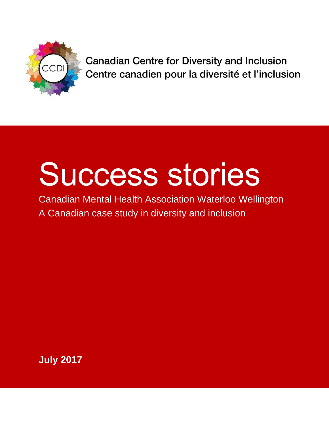

**Canadian Centre for Diversity and Inclusion** Centre canadien pour la diversité et l'inclusion

# Success stories

Canadian Mental Health Association Waterloo Wellington A Canadian case study in diversity and inclusion

**July 2017**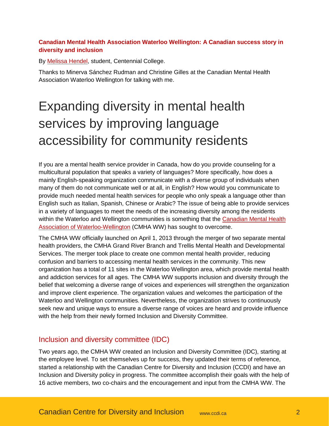### **Canadian Mental Health Association Waterloo Wellington: A Canadian success story in diversity and inclusion**

By [Melissa Hendel,](https://www.linkedin.com/in/melissa-hendel/) student, Centennial College.

Thanks to Minerva Sánchez Rudman and Christine Gilles at the Canadian Mental Health Association Waterloo Wellington for talking with me.

# Expanding diversity in mental health services by improving language accessibility for community residents

If you are a mental health service provider in Canada, how do you provide counseling for a multicultural population that speaks a variety of languages? More specifically, how does a mainly English-speaking organization communicate with a diverse group of individuals when many of them do not communicate well or at all, in English? How would you communicate to provide much needed mental health services for people who only speak a language other than English such as Italian, Spanish, Chinese or Arabic? The issue of being able to provide services in a variety of languages to meet the needs of the increasing diversity among the residents within the Waterloo and Wellington communities is something that the Canadian Mental Health [Association of Waterloo-Wellington](http://cmhaww.ca/) (CMHA WW) has sought to overcome.

The CMHA WW officially launched on April 1, 2013 through the merger of two separate mental health providers, the CMHA Grand River Branch and Trellis Mental Health and Developmental Services. The merger took place to create one common mental health provider, reducing confusion and barriers to accessing mental health services in the community. This new organization has a total of 11 sites in the Waterloo Wellington area, which provide mental health and addiction services for all ages. The CMHA WW supports inclusion and diversity through the belief that welcoming a diverse range of voices and experiences will strengthen the organization and improve client experience. The organization values and welcomes the participation of the Waterloo and Wellington communities. Nevertheless, the organization strives to continuously seek new and unique ways to ensure a diverse range of voices are heard and provide influence with the help from their newly formed Inclusion and Diversity Committee.

# Inclusion and diversity committee (IDC)

Two years ago, the CMHA WW created an Inclusion and Diversity Committee (IDC), starting at the employee level. To set themselves up for success, they updated their terms of reference, started a relationship with the Canadian Centre for Diversity and Inclusion (CCDI) and have an Inclusion and Diversity policy in progress. The committee accomplish their goals with the help of 16 active members, two co-chairs and the encouragement and input from the CMHA WW. The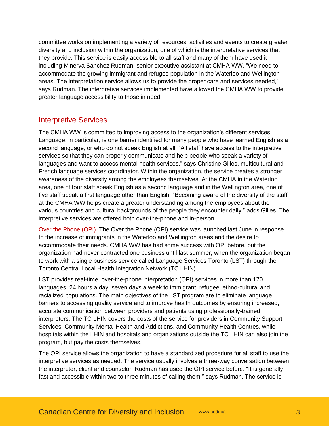committee works on implementing a variety of resources, activities and events to create greater diversity and inclusion within the organization, one of which is the interpretative services that they provide. This service is easily accessible to all staff and many of them have used it including Minerva Sánchez Rudman, senior executive assistant at CMHA WW. "We need to accommodate the growing immigrant and refugee population in the Waterloo and Wellington areas. The interpretation service allows us to provide the proper care and services needed," says Rudman. The interpretive services implemented have allowed the CMHA WW to provide greater language accessibility to those in need.

## Interpretive Services

The CMHA WW is committed to improving access to the organization's different services. Language, in particular, is one barrier identified for many people who have learned English as a second language, or who do not speak English at all. "All staff have access to the interpretive services so that they can properly communicate and help people who speak a variety of languages and want to access mental health services," says Christine Gilles, multicultural and French language services coordinator. Within the organization, the service creates a stronger awareness of the diversity among the employees themselves. At the CMHA in the Waterloo area, one of four staff speak English as a second language and in the Wellington area, one of five staff speak a first language other than English. "Becoming aware of the diversity of the staff at the CMHA WW helps create a greater understanding among the employees about the various countries and cultural backgrounds of the people they encounter daily," adds Gilles. The interpretive services are offered both over-the-phone and in-person.

Over the Phone (OPI). The Over the Phone (OPI) service was launched last June in response to the increase of immigrants in the Waterloo and Wellington areas and the desire to accommodate their needs. CMHA WW has had some success with OPI before, but the organization had never contracted one business until last summer, when the organization began to work with a single business service called Language Services Toronto (LST) through the Toronto Central Local Health Integration Network (TC LHIN).

LST provides real-time, over-the-phone interpretation (OPI) services in more than 170 languages, 24 hours a day, seven days a week to immigrant, refugee, ethno-cultural and racialized populations. The main objectives of the LST program are to eliminate language barriers to accessing quality service and to improve health outcomes by ensuring increased, accurate communication between providers and patients using professionally-trained interpreters. The TC LHIN covers the costs of the service for providers in Community Support Services, Community Mental Health and Addictions, and Community Health Centres, while hospitals within the LHIN and hospitals and organizations outside the TC LHIN can also join the program, but pay the costs themselves.

The OPI service allows the organization to have a standardized procedure for all staff to use the interpretive services as needed. The service usually involves a three-way conversation between the interpreter, client and counselor. Rudman has used the OPI service before. "It is generally fast and accessible within two to three minutes of calling them," says Rudman. The service is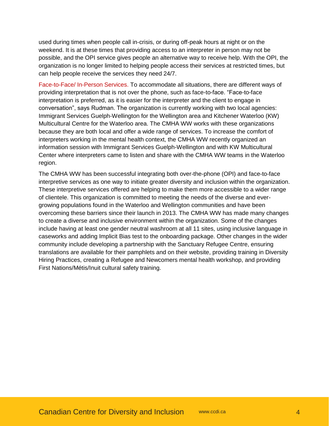used during times when people call in-crisis, or during off-peak hours at night or on the weekend. It is at these times that providing access to an interpreter in person may not be possible, and the OPI service gives people an alternative way to receive help. With the OPI, the organization is no longer limited to helping people access their services at restricted times, but can help people receive the services they need 24/7.

Face-to-Face/ In-Person Services. To accommodate all situations, there are different ways of providing interpretation that is not over the phone, such as face-to-face. "Face-to-face interpretation is preferred, as it is easier for the interpreter and the client to engage in conversation", says Rudman. The organization is currently working with two local agencies: Immigrant Services Guelph-Wellington for the Wellington area and Kitchener Waterloo (KW) Multicultural Centre for the Waterloo area. The CMHA WW works with these organizations because they are both local and offer a wide range of services. To increase the comfort of interpreters working in the mental health context, the CMHA WW recently organized an information session with Immigrant Services Guelph-Wellington and with KW Multicultural Center where interpreters came to listen and share with the CMHA WW teams in the Waterloo region.

The CMHA WW has been successful integrating both over-the-phone (OPI) and face-to-face interpretive services as one way to initiate greater diversity and inclusion within the organization. These interpretive services offered are helping to make them more accessible to a wider range of clientele. This organization is committed to meeting the needs of the diverse and evergrowing populations found in the Waterloo and Wellington communities and have been overcoming these barriers since their launch in 2013. The CMHA WW has made many changes to create a diverse and inclusive environment within the organization. Some of the changes include having at least one gender neutral washroom at all 11 sites, using inclusive language in caseworks and adding Implicit Bias test to the onboarding package. Other changes in the wider community include developing a partnership with the Sanctuary Refugee Centre, ensuring translations are available for their pamphlets and on their website, providing training in Diversity Hiring Practices, creating a Refugee and Newcomers mental health workshop, and providing First Nations/Métis/Inuit cultural safety training.